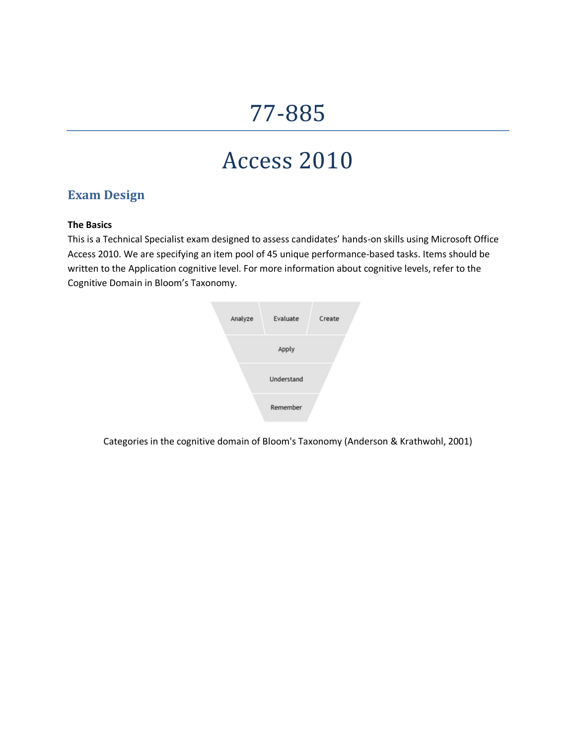# 77-885

## Access 2010

## **Exam Design**

#### **The Basics**

This is a Technical Specialist exam designed to assess candidates' hands-on skills using Microsoft Office Access 2010. We are specifying an item pool of 45 unique performance-based tasks. Items should be written to the Application cognitive level. For more information about cognitive levels, refer to the Cognitive Domain in Bloom's Taxonomy.



Categories in the cognitive domain of Bloom's Taxonomy (Anderson & Krathwohl, 2001)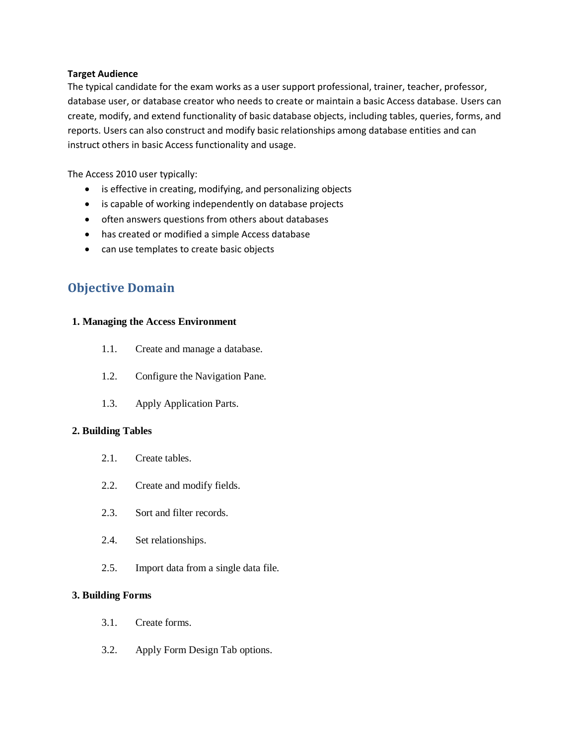#### **Target Audience**

The typical candidate for the exam works as a user support professional, trainer, teacher, professor, database user, or database creator who needs to create or maintain a basic Access database. Users can create, modify, and extend functionality of basic database objects, including tables, queries, forms, and reports. Users can also construct and modify basic relationships among database entities and can instruct others in basic Access functionality and usage.

The Access 2010 user typically:

- is effective in creating, modifying, and personalizing objects
- is capable of working independently on database projects
- often answers questions from others about databases
- has created or modified a simple Access database
- can use templates to create basic objects

### **Objective Domain**

#### **1. Managing the Access Environment**

- 1.1. Create and manage a database.
- 1.2. Configure the Navigation Pane.
- 1.3. Apply Application Parts.

#### **2. Building Tables**

- 2.1. Create tables.
- 2.2. Create and modify fields.
- 2.3. Sort and filter records.
- 2.4. Set relationships.
- 2.5. Import data from a single data file.

#### **3. Building Forms**

- 3.1. Create forms.
- 3.2. Apply Form Design Tab options.